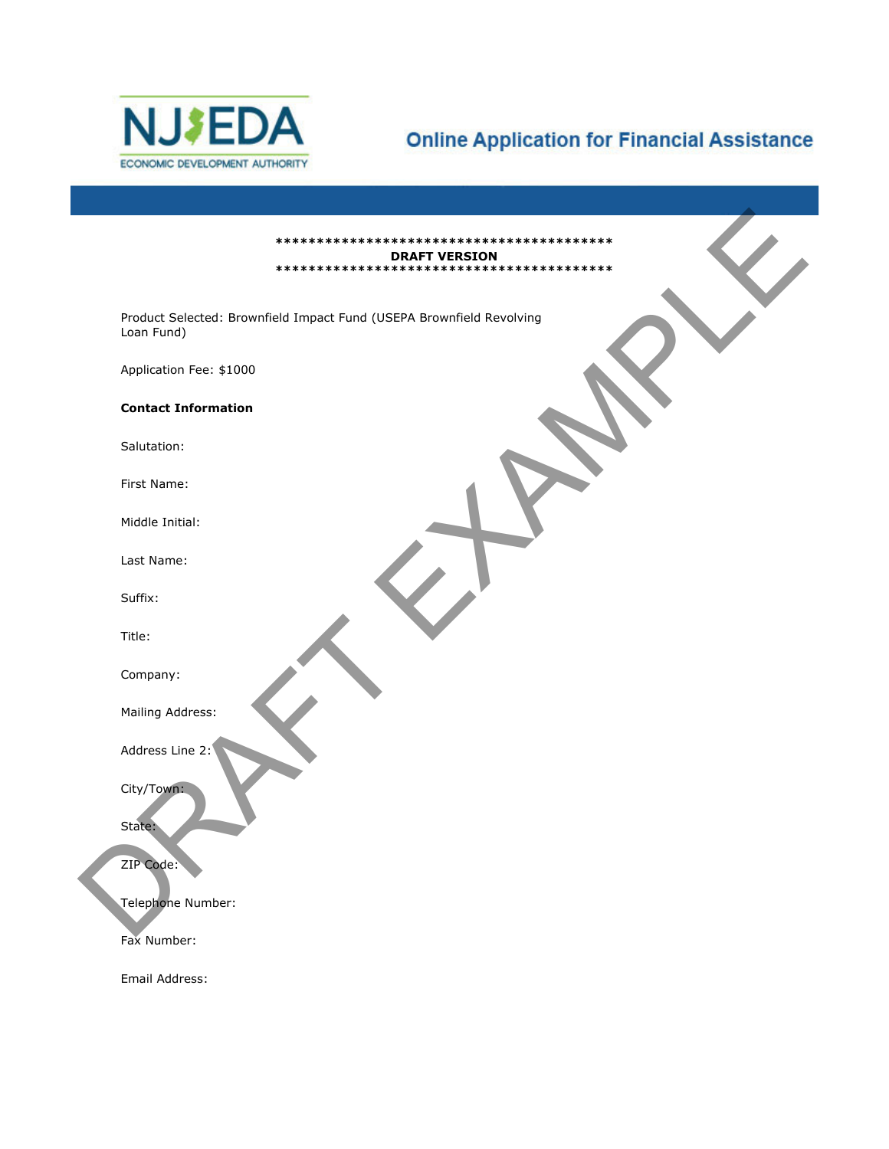

# **Online Application for Financial Assistance**

| <b>DRAFT VERSION</b>                                                               |
|------------------------------------------------------------------------------------|
| Product Selected: Brownfield Impact Fund (USEPA Brownfield Revolving<br>Loan Fund) |
| Application Fee: \$1000                                                            |
| <b>Contact Information</b>                                                         |
| Salutation:                                                                        |
| First Name:                                                                        |
| Middle Initial:                                                                    |
| Last Name:                                                                         |
| Suffix:                                                                            |
| Title:                                                                             |
| Company:                                                                           |
| Mailing Address:                                                                   |
| Address Line 2:                                                                    |
| City/Town:                                                                         |
| State:                                                                             |
| ZIP Code:                                                                          |
| Telephone Number:                                                                  |
| Fax Number:                                                                        |
| Email Address:                                                                     |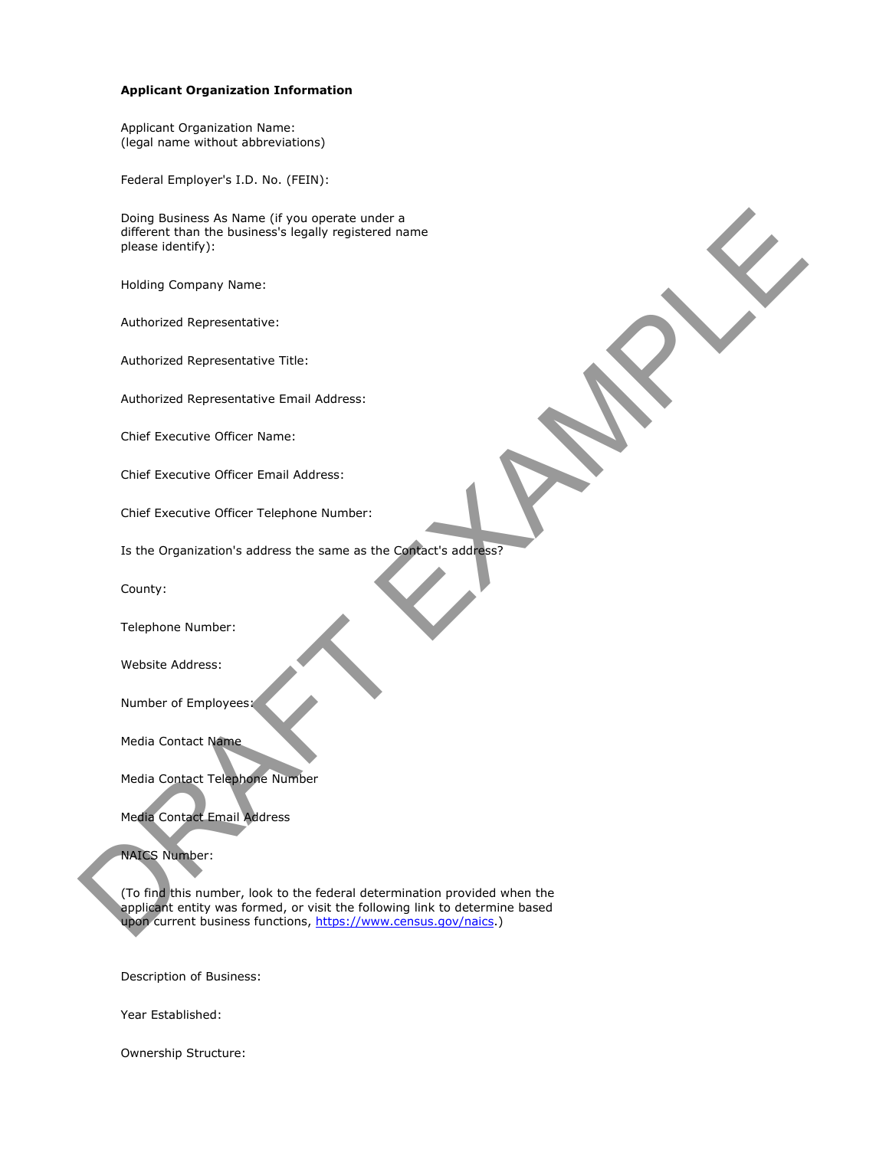#### **Applicant Organization Information**

Applicant Organization Name: (legal name without abbreviations)

Federal Employer's I.D. No. (FEIN):

Doing Business As Name (if you operate under a different than the business's legally registered name please identify):

Holding Company Name:

Authorized Representative:

Authorized Representative Title:

Authorized Representative Email Address:

Chief Executive Officer Name:

Chief Executive Officer Email Address:

Chief Executive Officer Telephone Number:

Is the Organization's address the same as the Contact's address?

County:

Telephone Number:

Website Address:

Number of Employees:

Media Contact Name

Media Contact Telephone Number

Media Contact Email Address

NAICS Number:

(To find this number, look to the federal determination provided when the applicant entity was formed, or visit the following link to determine based upon current business functions, https://www.census.gov/naics.) Dong Business As frame (f you operate under a<br>different than the business's lecally redistance<br>please identify):<br>Hubiling Company Name:<br>Hubiling Company Name:<br>Authorized Representative:<br>Authorized Representative:<br>Authorize

Description of Business:

Year Established:

Ownership Structure: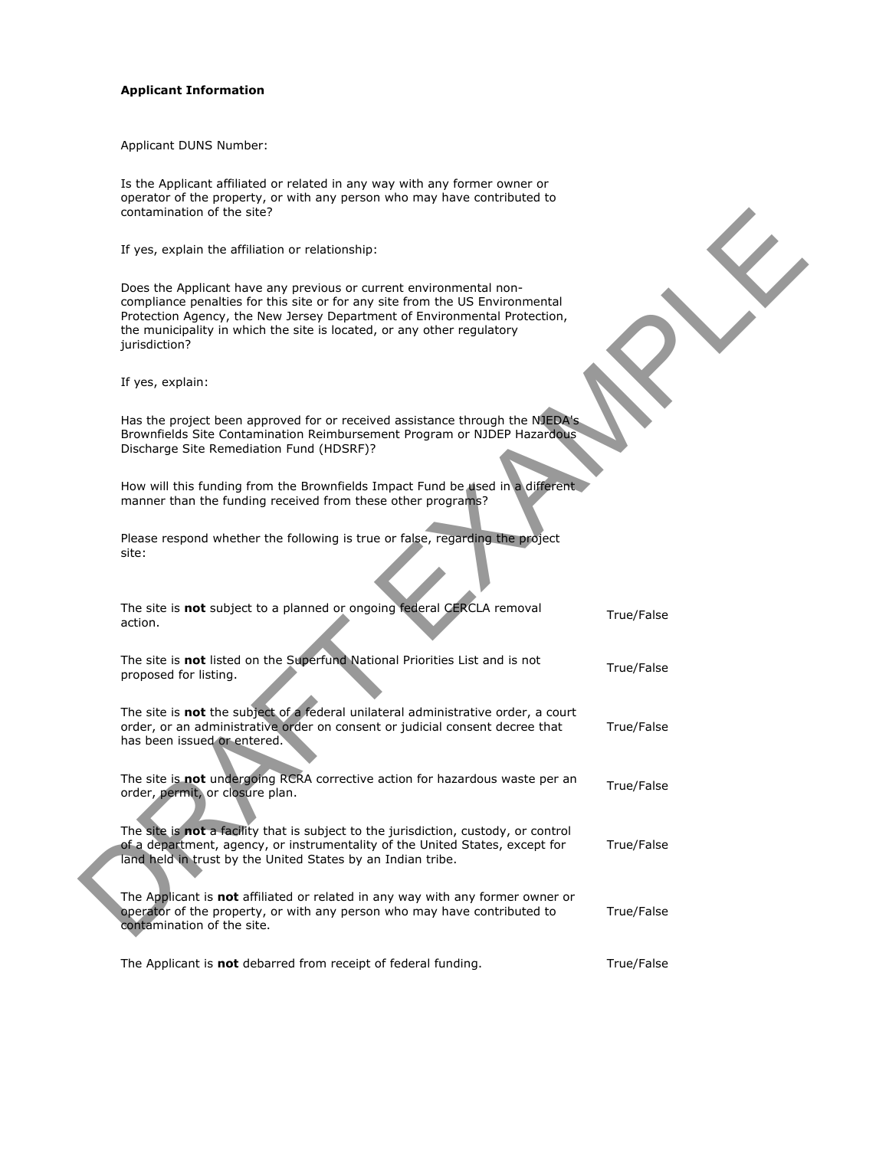#### **Applicant Information**

Applicant DUNS Number:

Is the Applicant affiliated or related in any way with any former owner or operator of the property, or with any person who may have contributed to contamination of the site?

| contamination of the site?                                                                                                                                                                                                                                                                                                 |            |
|----------------------------------------------------------------------------------------------------------------------------------------------------------------------------------------------------------------------------------------------------------------------------------------------------------------------------|------------|
| If yes, explain the affiliation or relationship:                                                                                                                                                                                                                                                                           |            |
| Does the Applicant have any previous or current environmental non-<br>compliance penalties for this site or for any site from the US Environmental<br>Protection Agency, the New Jersey Department of Environmental Protection,<br>the municipality in which the site is located, or any other regulatory<br>jurisdiction? |            |
| If yes, explain:                                                                                                                                                                                                                                                                                                           |            |
| Has the project been approved for or received assistance through the NJEDA's<br>Brownfields Site Contamination Reimbursement Program or NJDEP Hazardous<br>Discharge Site Remediation Fund (HDSRF)?                                                                                                                        |            |
| How will this funding from the Brownfields Impact Fund be used in a different<br>manner than the funding received from these other programs?                                                                                                                                                                               |            |
| Please respond whether the following is true or false, regarding the project<br>site:                                                                                                                                                                                                                                      |            |
| The site is not subject to a planned or ongoing federal CERCLA removal<br>action.                                                                                                                                                                                                                                          | True/False |
| The site is not listed on the Superfund National Priorities List and is not<br>proposed for listing.                                                                                                                                                                                                                       | True/False |
| The site is not the subject of a federal unilateral administrative order, a court<br>order, or an administrative order on consent or judicial consent decree that<br>has been issued or entered.                                                                                                                           | True/False |
| The site is not undergoing RCRA corrective action for hazardous waste per an<br>order, permit, or closure plan.                                                                                                                                                                                                            | True/False |
| The site is not a facility that is subject to the jurisdiction, custody, or control<br>of a department, agency, or instrumentality of the United States, except for<br>land held in trust by the United States by an Indian tribe.                                                                                         | True/False |
| The Applicant is not affiliated or related in any way with any former owner or<br>operator of the property, or with any person who may have contributed to<br>contamination of the site.                                                                                                                                   | True/False |
| The Applicant is not debarred from receipt of federal funding.                                                                                                                                                                                                                                                             | True/False |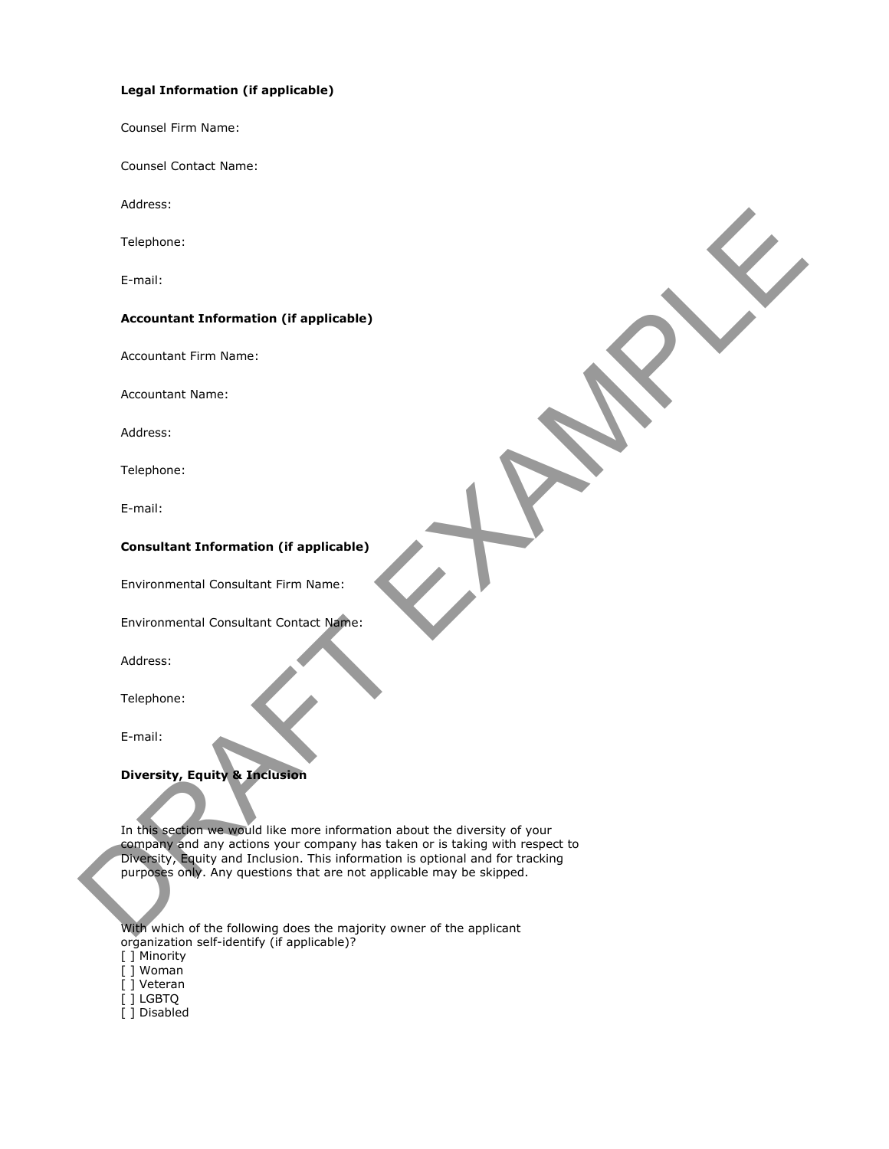## **Legal Information (if applicable)**

Counsel Firm Name:

Counsel Contact Name:

Address:

Telephone:

E-mail:

## **Accountant Information (if applicable)**

Accountant Firm Name:

Accountant Name:

Address:

Telephone:

E-mail:

# **Consultant Information (if applicable)**

Environmental Consultant Firm Name:

Environmental Consultant Contact Name:

Address:

Telephone:

E-mail:

## **Diversity, Equity & Inclusion**

In this section we would like more information about the diversity of your company and any actions your company has taken or is taking with respect to Diversity, Equity and Inclusion. This information is optional and for tracking purposes only. Any questions that are not applicable may be skipped. Telephone:<br>
E-mail:<br>
Accountant Information (If applicable)<br>
Accountant Islame:<br>
Accountant Islame:<br>
Accountant Islame:<br>
Consultant Information (If applicable)<br>
Consultant Information (If applicable)<br>
Consultant Informatio

With which of the following does the majority owner of the applicant organization self-identify (if applicable)?

[ ] Minority

[ ] Woman

[ ] Veteran

[ ] LGBTQ

[ ] Disabled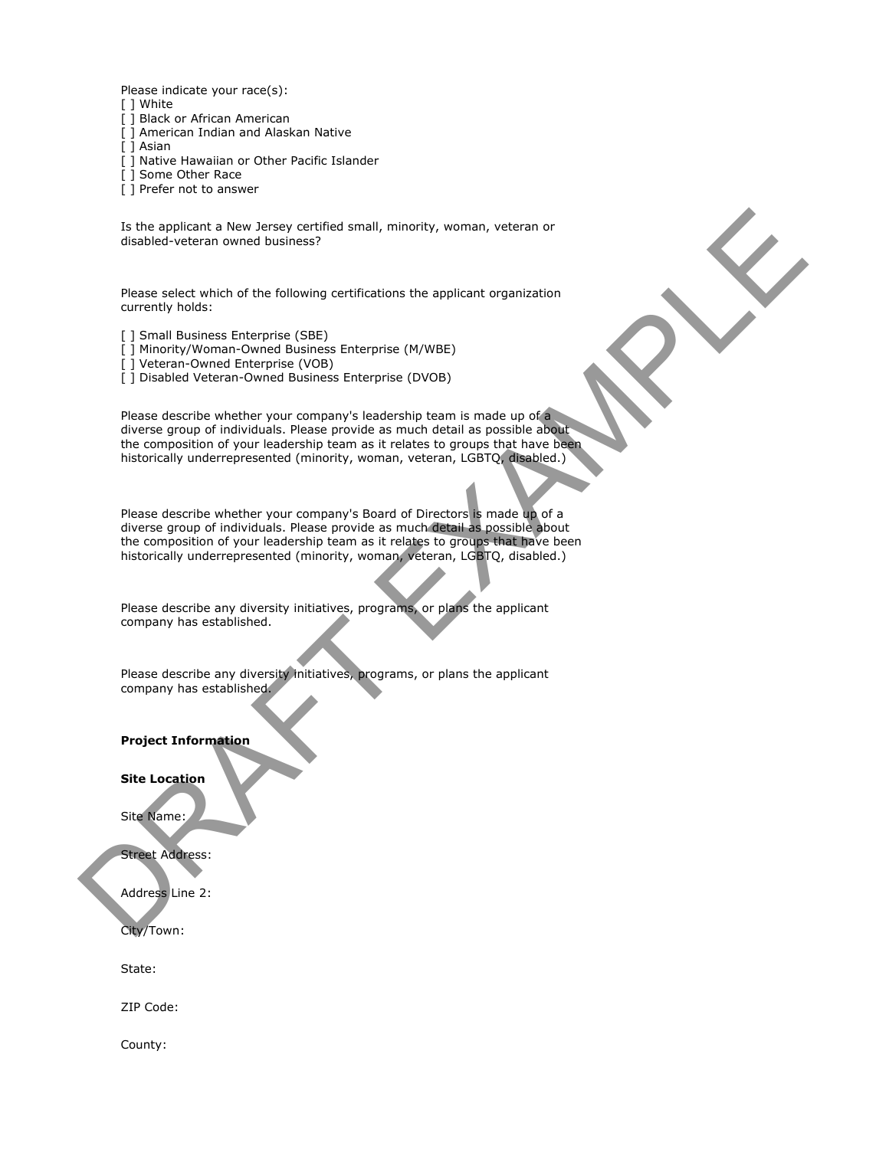Please indicate your race(s):

- [ ] White
- [ ] Black or African American
- [ ] American Indian and Alaskan Native
- [ ] Asian
- [ ] Native Hawaiian or Other Pacific Islander
- [ ] Some Other Race
- [ ] Prefer not to answer

Is the applicant a New Jersey certified small, minority, woman, veteran or disabled-veteran owned business?

Please select which of the following certifications the applicant organization currently holds:

- [ ] Small Business Enterprise (SBE)
- [ ] Minority/Woman-Owned Business Enterprise (M/WBE)
- [] Veteran-Owned Enterprise (VOB)
- [ ] Disabled Veteran-Owned Business Enterprise (DVOB)

Please describe whether your company's leadership team is made up of a diverse group of individuals. Please provide as much detail as possible about the composition of your leadership team as it relates to groups that have been historically underrepresented (minority, woman, veteran, LGBTQ, disabled.) Is the applicant a New Jersey certified small, minority, woman, velocan or<br>distabled-velocian onese business?<br>Pleasa celet which of the following certifications the applicant organization<br>currently holds:<br>The mail business

Please describe whether your company's Board of Directors is made up of a diverse group of individuals. Please provide as much detail as possible about the composition of your leadership team as it relates to groups that have been historically underrepresented (minority, woman, veteran, LGBTQ, disabled.)

Please describe any diversity initiatives, programs, or plans the applicant company has established.

Please describe any diversity initiatives, programs, or plans the applicant company has established.

**Project Information**

#### **Site Location**

Site Name:

Street Address:

Address Line 2:

City/Town:

State:

ZIP Code:

County: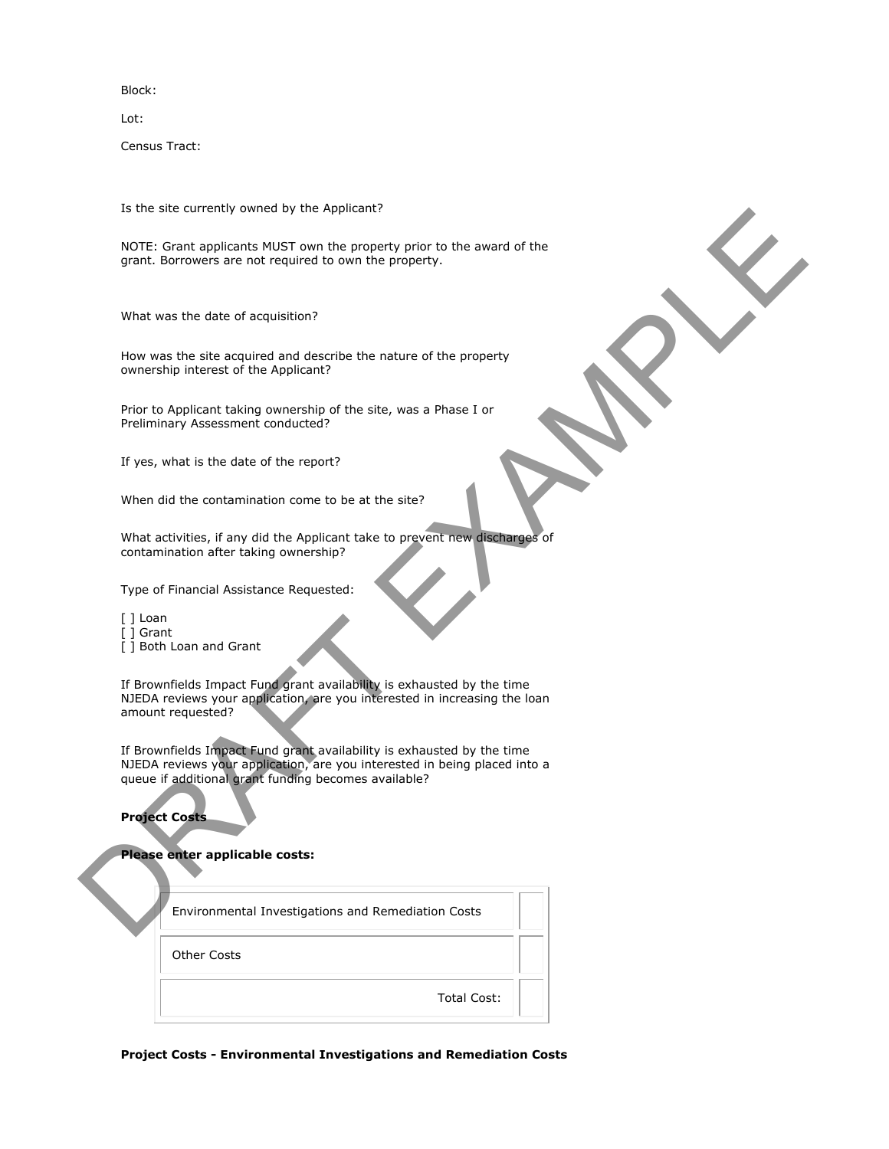Block:

Lot:

Census Tract:

Is the site currently owned by the Applicant?

NOTE: Grant applicants MUST own the property prior to the award of the grant. Borrowers are not required to own the property.

What was the date of acquisition?

How was the site acquired and describe the nature of the property ownership interest of the Applicant?

Prior to Applicant taking ownership of the site, was a Phase I or Preliminary Assessment conducted?

If yes, what is the date of the report?

When did the contamination come to be at the site?

What activities, if any did the Applicant take to prevent new discharges of contamination after taking ownership?

Type of Financial Assistance Requested:

[ ] Loan

- [ ] Grant
- [ ] Both Loan and Grant

If Brownfields Impact Fund grant availability is exhausted by the time NJEDA reviews your application, are you interested in increasing the loan amount requested? is the site currently owned by the Applicant<br>
NOTE: Detri sporters and SNSF can the property prior to the sward of the<br>
NOTE: Detri sporters are not required to com the property.<br>
What was the date of stephalism?<br>
What was

If Brownfields Impact Fund grant availability is exhausted by the time NJEDA reviews your application, are you interested in being placed into a queue if additional grant funding becomes available?

**Project Costs** 

## **Please enter applicable costs:**

| Environmental Investigations and Remediation Costs |  |
|----------------------------------------------------|--|
| Other Costs                                        |  |
| Total Cost:                                        |  |

**Project Costs - Environmental Investigations and Remediation Costs**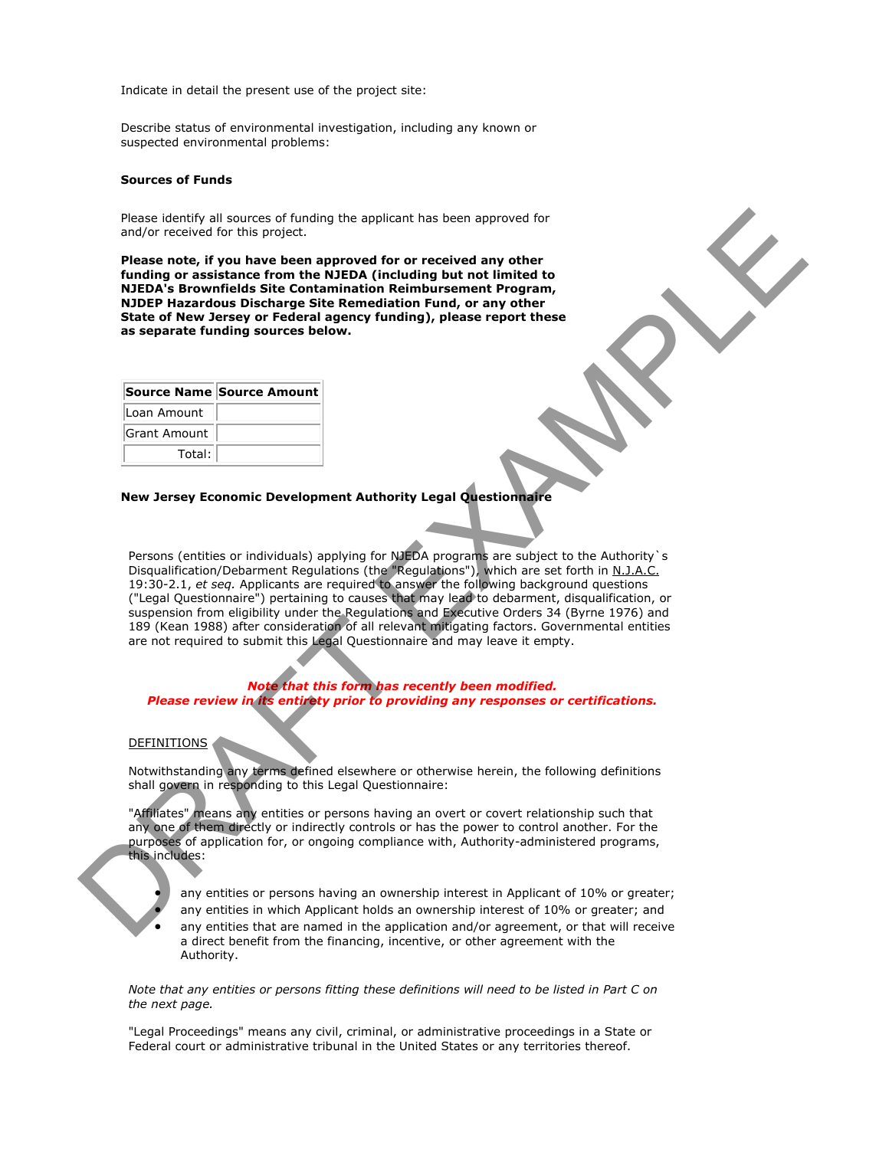Indicate in detail the present use of the project site:

Describe status of environmental investigation, including any known or suspected environmental problems:

#### **Sources of Funds**

Please identify all sources of funding the applicant has been approved for and/or received for this project.

**Please note, if you have been approved for or received any other funding or assistance from the NJEDA (including but not limited to NJEDA's Brownfields Site Contamination Reimbursement Program, NJDEP Hazardous Discharge Site Remediation Fund, or any other State of New Jersey or Federal agency funding), please report these as separate funding sources below.**

|              | Source Name Source Amount |
|--------------|---------------------------|
| Loan Amount  |                           |
| Grant Amount |                           |
| Total:       |                           |

## **New Jersey Economic Development Authority Legal Questionnaire**

Persons (entities or individuals) applying for NJEDA programs are subject to the Authority`s Disqualification/Debarment Regulations (the "Regulations"), which are set forth in N.J.A.C. 19:30-2.1, *et seq.* Applicants are required to answer the following background questions ("Legal Questionnaire") pertaining to causes that may lead to debarment, disqualification, or suspension from eligibility under the Regulations and Executive Orders 34 (Byrne 1976) and 189 (Kean 1988) after consideration of all relevant mitigating factors. Governmental entities are not required to submit this Legal Questionnaire and may leave it empty. Piese leading all sources of fundality the applicant has been approved for<br>endoty received for this provide.<br>
Planet and the stress are non-set to the MDAFT finding but net immited to<br>
Nample in a straightestic form the ND

*Note that this form has recently been modified. Please review in its entirety prior to providing any responses or certifications.* 

#### **DEFINITIONS**

Notwithstanding any terms defined elsewhere or otherwise herein, the following definitions shall govern in responding to this Legal Questionnaire:

"Affiliates" means any entities or persons having an overt or covert relationship such that any one of them directly or indirectly controls or has the power to control another. For the purposes of application for, or ongoing compliance with, Authority-administered programs, this includes:



 any entities or persons having an ownership interest in Applicant of 10% or greater; any entities in which Applicant holds an ownership interest of 10% or greater; and any entities that are named in the application and/or agreement, or that will receive a direct benefit from the financing, incentive, or other agreement with the Authority.

*Note that any entities or persons fitting these definitions will need to be listed in Part C on the next page.*

"Legal Proceedings" means any civil, criminal, or administrative proceedings in a State or Federal court or administrative tribunal in the United States or any territories thereof.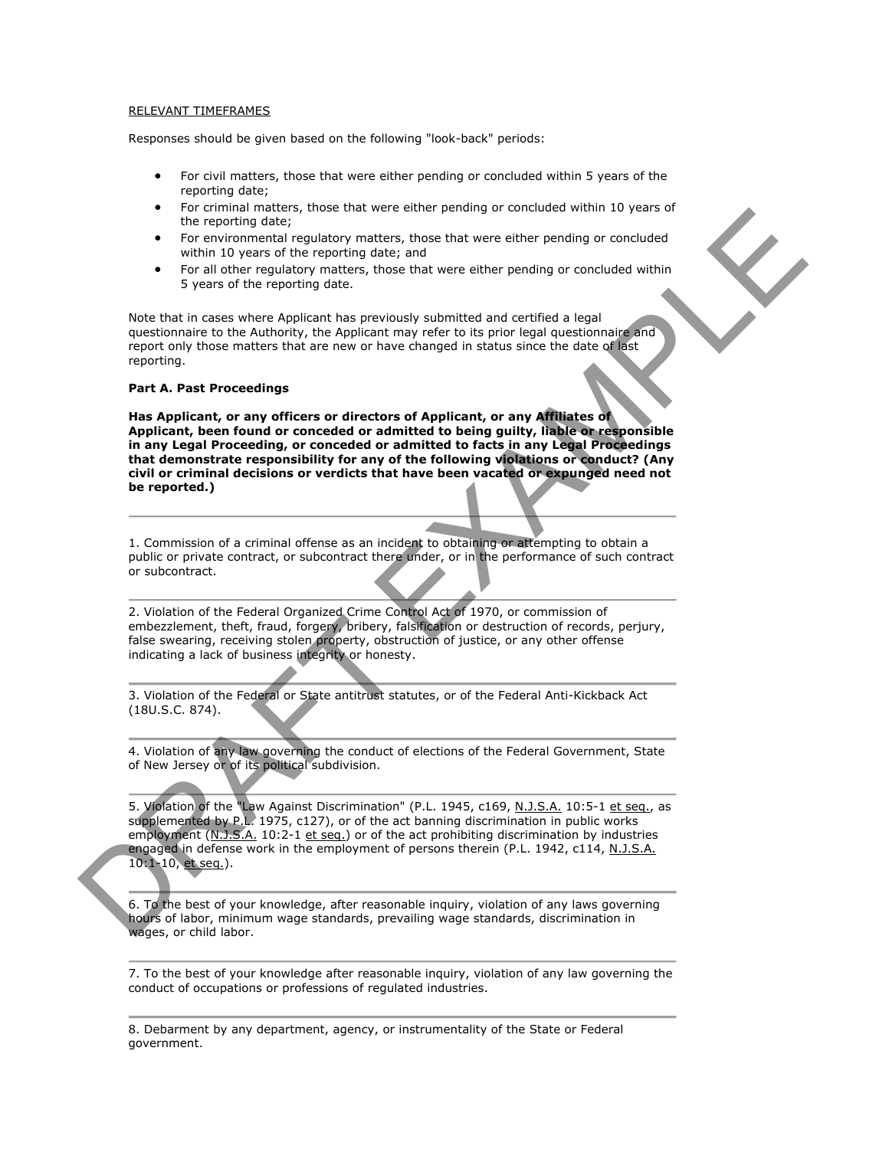#### RELEVANT TIMEFRAMES

Responses should be given based on the following "look-back" periods:

- For civil matters, those that were either pending or concluded within 5 years of the reporting date;
- For criminal matters, those that were either pending or concluded within 10 years of the reporting date;
- For environmental regulatory matters, those that were either pending or concluded within 10 years of the reporting date; and
- For all other regulatory matters, those that were either pending or concluded within 5 years of the reporting date.

Note that in cases where Applicant has previously submitted and certified a legal questionnaire to the Authority, the Applicant may refer to its prior legal questionnaire and report only those matters that are new or have changed in status since the date of last reporting.

#### **Part A. Past Proceedings**

**Has Applicant, or any officers or directors of Applicant, or any Affiliates of Applicant, been found or conceded or admitted to being guilty, liable or responsible in any Legal Proceeding, or conceded or admitted to facts in any Legal Proceedings that demonstrate responsibility for any of the following violations or conduct? (Any civil or criminal decisions or verdicts that have been vacated or expunged need not be reported.)** The removed in the restriction of the restriction of the restriction of the restriction of the restriction of the restriction of the restriction of the restriction of the restriction of the restriction of the restriction o

1. Commission of a criminal offense as an incident to obtaining or attempting to obtain a public or private contract, or subcontract there under, or in the performance of such contract or subcontract.

2. Violation of the Federal Organized Crime Control Act of 1970, or commission of embezzlement, theft, fraud, forgery, bribery, falsification or destruction of records, perjury, false swearing, receiving stolen property, obstruction of justice, or any other offense indicating a lack of business integrity or honesty.

3. Violation of the Federal or State antitrust statutes, or of the Federal Anti-Kickback Act (18U.S.C. 874).

4. Violation of any law governing the conduct of elections of the Federal Government, State of New Jersey or of its political subdivision.

5. Violation of the "Law Against Discrimination" (P.L. 1945, c169, N.J.S.A. 10:5-1 et seq., as supplemented by P.L. 1975, c127), or of the act banning discrimination in public works employment (N.J.S.A. 10:2-1 et seq.) or of the act prohibiting discrimination by industries engaged in defense work in the employment of persons therein (P.L. 1942, c114, N.J.S.A. 10:1-10, et seq.).

6. To the best of your knowledge, after reasonable inquiry, violation of any laws governing hours of labor, minimum wage standards, prevailing wage standards, discrimination in wages, or child labor.

7. To the best of your knowledge after reasonable inquiry, violation of any law governing the conduct of occupations or professions of regulated industries.

8. Debarment by any department, agency, or instrumentality of the State or Federal government.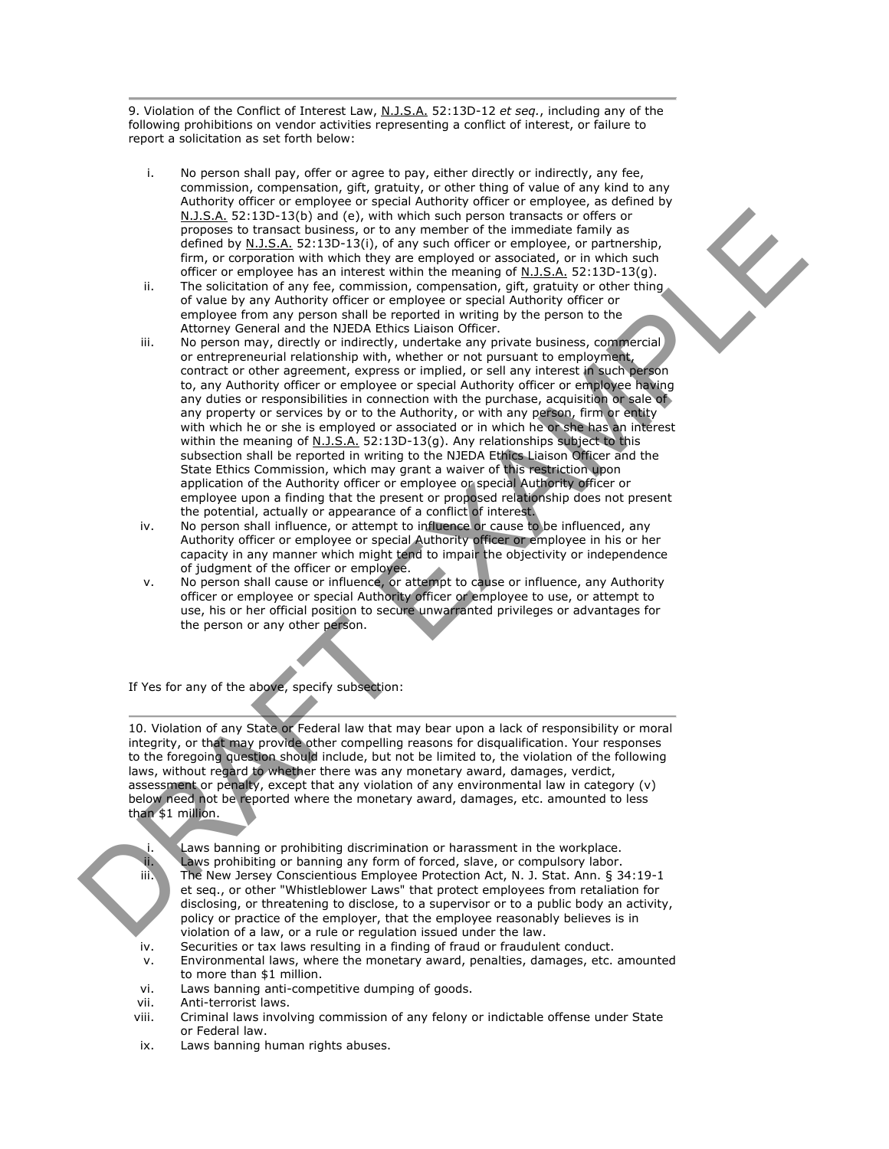9. Violation of the Conflict of Interest Law, N.J.S.A. 52:13D-12 *et seq.*, including any of the following prohibitions on vendor activities representing a conflict of interest, or failure to report a solicitation as set forth below:

- i. No person shall pay, offer or agree to pay, either directly or indirectly, any fee, commission, compensation, gift, gratuity, or other thing of value of any kind to any Authority officer or employee or special Authority officer or employee, as defined by N.J.S.A. 52:13D-13(b) and (e), with which such person transacts or offers or proposes to transact business, or to any member of the immediate family as defined by N.J.S.A. 52:13D-13(i), of any such officer or employee, or partnership, firm, or corporation with which they are employed or associated, or in which such officer or employee has an interest within the meaning of N.J.S.A.  $52:13D-13(q)$ .
- ii. The solicitation of any fee, commission, compensation, gift, gratuity or other thing of value by any Authority officer or employee or special Authority officer or employee from any person shall be reported in writing by the person to the Attorney General and the NJEDA Ethics Liaison Officer.
- iii. No person may, directly or indirectly, undertake any private business, commercial or entrepreneurial relationship with, whether or not pursuant to employment, contract or other agreement, express or implied, or sell any interest in such person to, any Authority officer or employee or special Authority officer or employee having any duties or responsibilities in connection with the purchase, acquisition or sale of any property or services by or to the Authority, or with any person, firm or entity with which he or she is employed or associated or in which he or she has an interest within the meaning of N.J.S.A. 52:13D-13(g). Any relationships subject to this subsection shall be reported in writing to the NJEDA Ethics Liaison Officer and the State Ethics Commission, which may grant a waiver of this restriction upon application of the Authority officer or employee or special Authority officer or employee upon a finding that the present or proposed relationship does not present the potential, actually or appearance of a conflict of interest. N.3.5. S2:130-1310 (e), which was one can be easier to consider the case of the specific and the specific and the specific and the specific and the specific and the specific and the specific and the specific and the speci
	- iv. No person shall influence, or attempt to influence or cause to be influenced, any Authority officer or employee or special Authority officer or employee in his or her capacity in any manner which might tend to impair the objectivity or independence of judgment of the officer or employee.
	- v. No person shall cause or influence, or attempt to cause or influence, any Authority officer or employee or special Authority officer or employee to use, or attempt to use, his or her official position to secure unwarranted privileges or advantages for the person or any other person.

If Yes for any of the above, specify subsection:

10. Violation of any State or Federal law that may bear upon a lack of responsibility or moral integrity, or that may provide other compelling reasons for disqualification. Your responses to the foregoing question should include, but not be limited to, the violation of the following laws, without regard to whether there was any monetary award, damages, verdict, assessment or penalty, except that any violation of any environmental law in category (v) below need not be reported where the monetary award, damages, etc. amounted to less than \$1 million.

i. Laws banning or prohibiting discrimination or harassment in the workplace. ii. Laws prohibiting or banning any form of forced, slave, or compulsory labor. iii. The New Jersey Conscientious Employee Protection Act, N. J. Stat. Ann. § 34:19-1 et seq., or other "Whistleblower Laws" that protect employees from retaliation for disclosing, or threatening to disclose, to a supervisor or to a public body an activity, policy or practice of the employer, that the employee reasonably believes is in violation of a law, or a rule or regulation issued under the law.

- iv. Securities or tax laws resulting in a finding of fraud or fraudulent conduct.
- v. Environmental laws, where the monetary award, penalties, damages, etc. amounted to more than \$1 million.
- vi. Laws banning anti-competitive dumping of goods.
- vii. Anti-terrorist laws.
- viii. Criminal laws involving commission of any felony or indictable offense under State or Federal law.
- ix. Laws banning human rights abuses.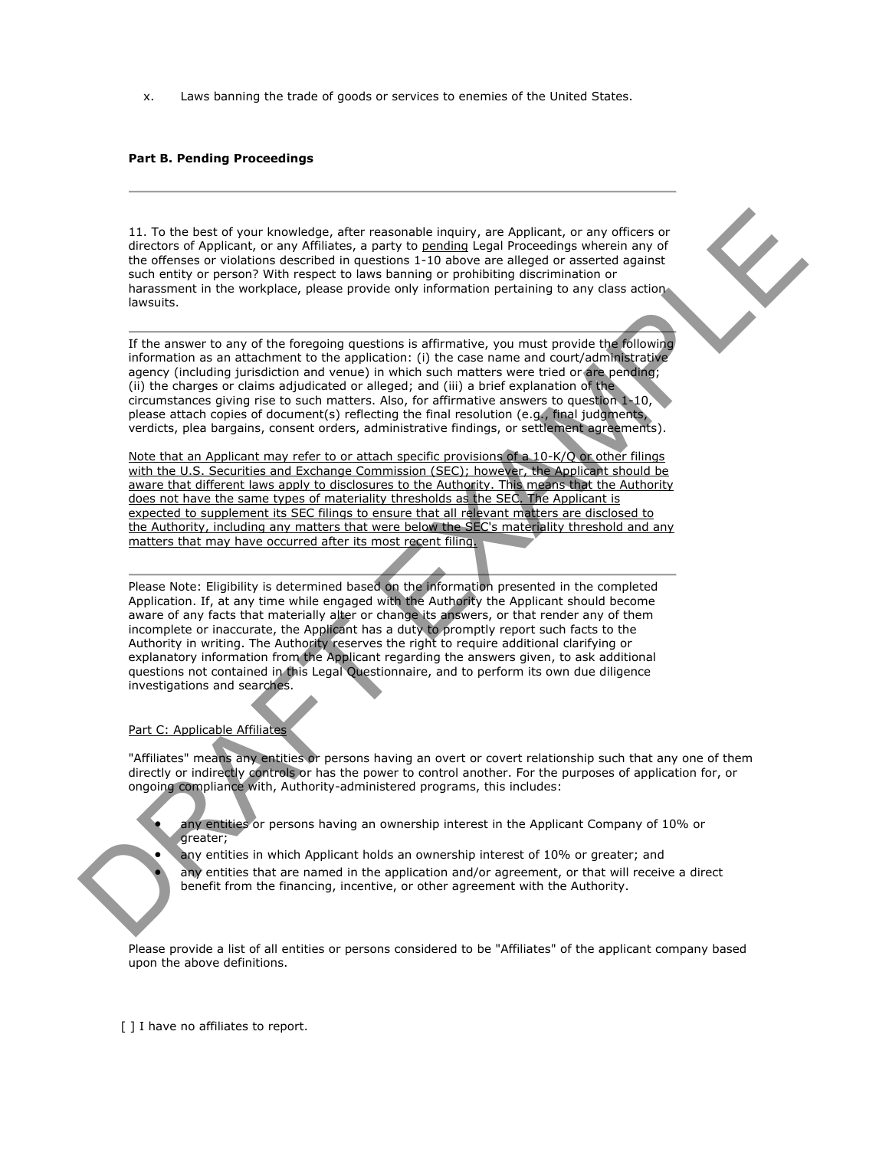x. Laws banning the trade of goods or services to enemies of the United States.

## **Part B. Pending Proceedings**

11. To the best of your knowledge, after reasonable inquiry, are Applicant, or any officers or directors of Applicant, or any Affiliates, a party to pending Legal Proceedings wherein any of the offenses or violations described in questions 1-10 above are alleged or asserted against such entity or person? With respect to laws banning or prohibiting discrimination or harassment in the workplace, please provide only information pertaining to any class action lawsuits.

If the answer to any of the foregoing questions is affirmative, you must provide the following information as an attachment to the application: (i) the case name and court/administrative agency (including jurisdiction and venue) in which such matters were tried or are pending; (ii) the charges or claims adjudicated or alleged; and (iii) a brief explanation of the circumstances giving rise to such matters. Also, for affirmative answers to question 1-10, please attach copies of document(s) reflecting the final resolution (e.g., final judgments, verdicts, plea bargains, consent orders, administrative findings, or settlement agreements).

Note that an Applicant may refer to or attach specific provisions of a 10-K/Q or other filings with the U.S. Securities and Exchange Commission (SEC); however, the Applicant should be aware that different laws apply to disclosures to the Authority. This means that the Authority does not have the same types of materiality thresholds as the SEC. The Applicant is expected to supplement its SEC filings to ensure that all relevant matters are disclosed to the Authority, including any matters that were below the SEC's materiality threshold and any matters that may have occurred after its most recent filing.

Please Note: Eligibility is determined based on the information presented in the completed Application. If, at any time while engaged with the Authority the Applicant should become aware of any facts that materially alter or change its answers, or that render any of them incomplete or inaccurate, the Applicant has a duty to promptly report such facts to the Authority in writing. The Authority reserves the right to require additional clarifying or explanatory information from the Applicant regarding the answers given, to ask additional questions not contained in this Legal Questionnaire, and to perform its own due diligence investigations and searches. 11. To the best of your knowledge, ofter researchies leading, ore Applicant, or any officers or<br>differential displaced in the specifical specifical separation is also estimated in the specifical separation or any officers

#### Part C: Applicable Affiliates

"Affiliates" means any entities or persons having an overt or covert relationship such that any one of them directly or indirectly controls or has the power to control another. For the purposes of application for, or ongoing compliance with, Authority-administered programs, this includes:

 any entities or persons having an ownership interest in the Applicant Company of 10% or greater;

 any entities in which Applicant holds an ownership interest of 10% or greater; and any entities that are named in the application and/or agreement, or that will receive a direct benefit from the financing, incentive, or other agreement with the Authority.

Please provide a list of all entities or persons considered to be "Affiliates" of the applicant company based upon the above definitions.

[ ] I have no affiliates to report.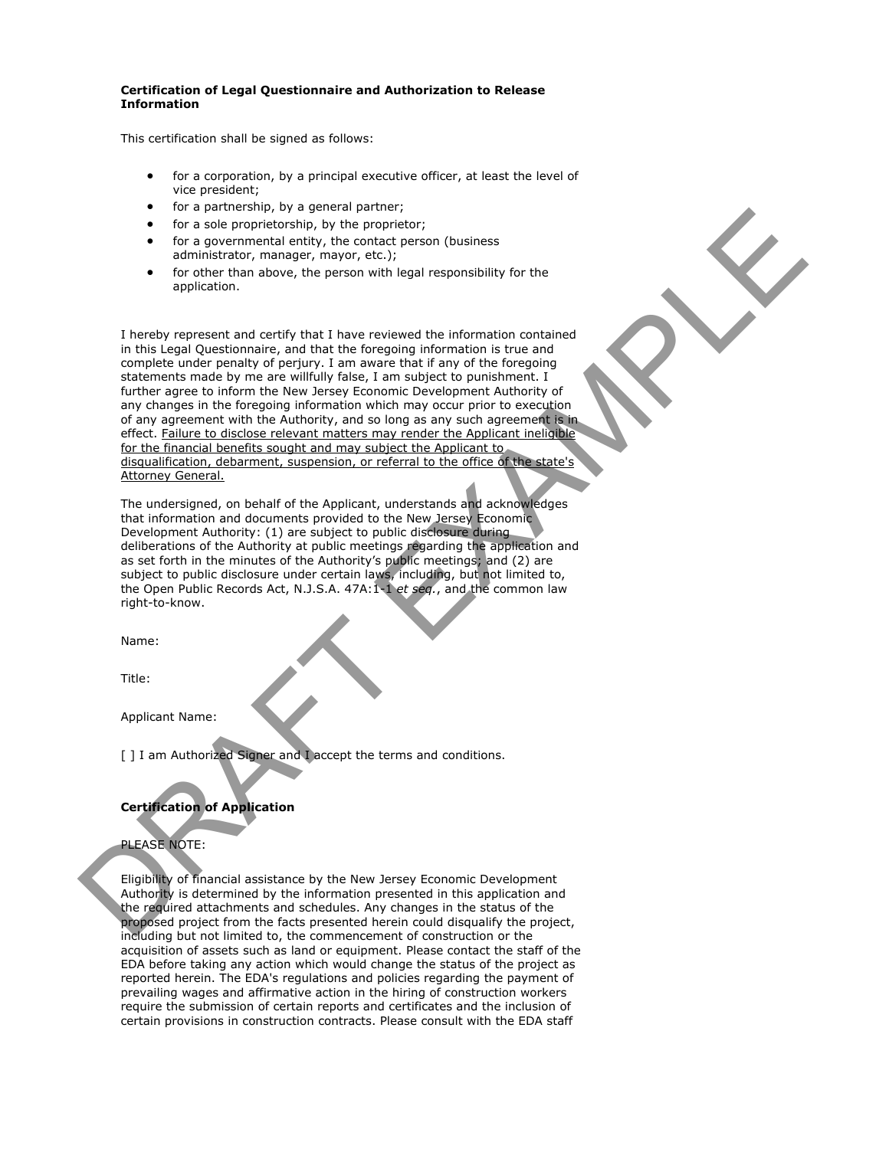#### **Certification of Legal Questionnaire and Authorization to Release Information**

This certification shall be signed as follows:

- for a corporation, by a principal executive officer, at least the level of vice president;
- for a partnership, by a general partner;
- for a sole proprietorship, by the proprietor;
- for a governmental entity, the contact person (business administrator, manager, mayor, etc.);
- for other than above, the person with legal responsibility for the application.

I hereby represent and certify that I have reviewed the information contained in this Legal Questionnaire, and that the foregoing information is true and complete under penalty of perjury. I am aware that if any of the foregoing statements made by me are willfully false, I am subject to punishment. I further agree to inform the New Jersey Economic Development Authority of any changes in the foregoing information which may occur prior to execution of any agreement with the Authority, and so long as any such agreement is in effect. Failure to disclose relevant matters may render the Applicant ineligible for the financial benefits sought and may subject the Applicant to disqualification, debarment, suspension, or referral to the office of the state's Attorney General. The transfer of the pair of the pair of the term is a continued by the interaction of the pair of the pair of the pair of the control of the control of the pair of the control of the pair of the pair of the pair of the co

The undersigned, on behalf of the Applicant, understands and acknowledges that information and documents provided to the New Jersey Economic Development Authority: (1) are subject to public disclosure during deliberations of the Authority at public meetings regarding the application and as set forth in the minutes of the Authority's public meetings; and (2) are subject to public disclosure under certain laws, including, but not limited to, the Open Public Records Act, N.J.S.A. 47A:1-1 *et seq.*, and the common law right-to-know.

Name:

Title:

Applicant Name:

[ ] I am Authorized Signer and I accept the terms and conditions.

# **Certification of Application**

# PLEASE NOTE:

Eligibility of financial assistance by the New Jersey Economic Development Authority is determined by the information presented in this application and the required attachments and schedules. Any changes in the status of the proposed project from the facts presented herein could disqualify the project, including but not limited to, the commencement of construction or the acquisition of assets such as land or equipment. Please contact the staff of the EDA before taking any action which would change the status of the project as reported herein. The EDA's regulations and policies regarding the payment of prevailing wages and affirmative action in the hiring of construction workers require the submission of certain reports and certificates and the inclusion of certain provisions in construction contracts. Please consult with the EDA staff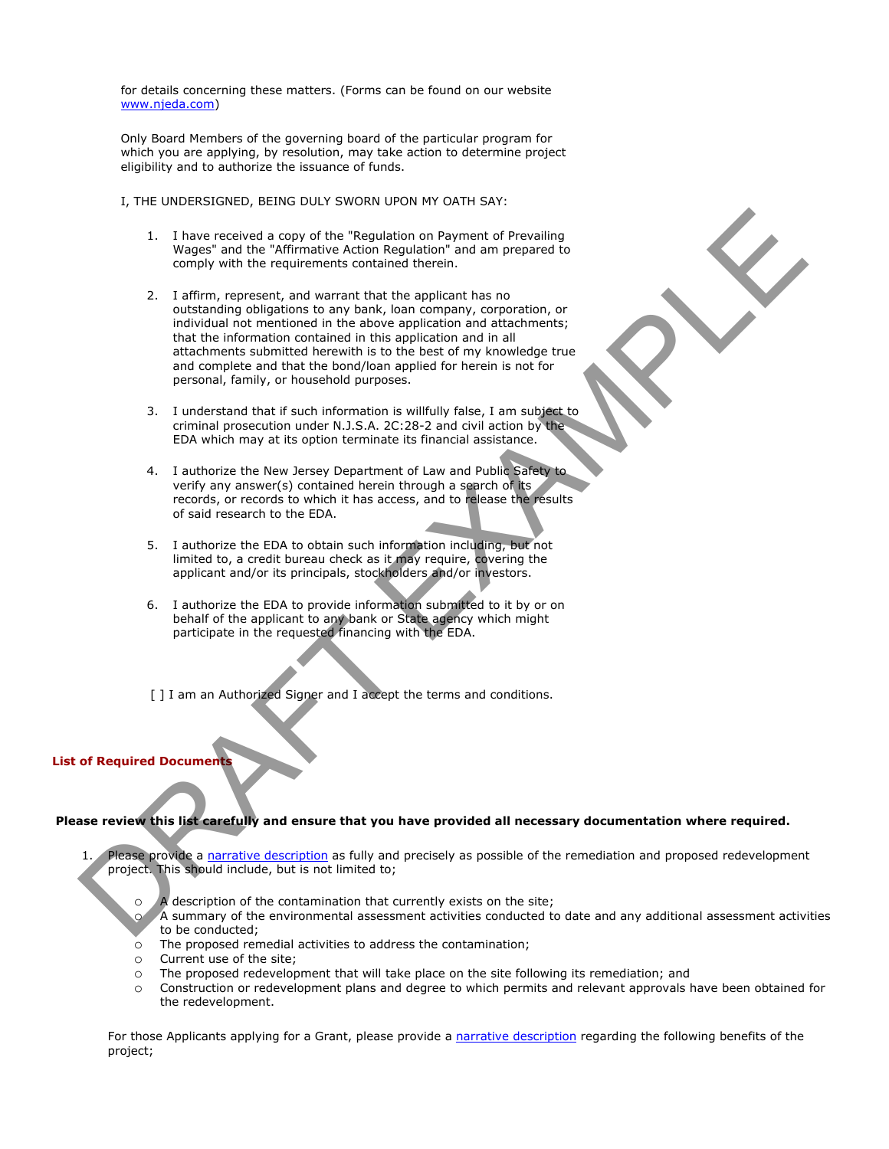for details concerning these matters. (Forms can be found on our website www.njeda.com)

Only Board Members of the governing board of the particular program for which you are applying, by resolution, may take action to determine project eligibility and to authorize the issuance of funds.

I, THE UNDERSIGNED, BEING DULY SWORN UPON MY OATH SAY:

- 1. I have received a copy of the "Regulation on Payment of Prevailing Wages" and the "Affirmative Action Regulation" and am prepared to comply with the requirements contained therein.
- 2. I affirm, represent, and warrant that the applicant has no outstanding obligations to any bank, loan company, corporation, or individual not mentioned in the above application and attachments; that the information contained in this application and in all attachments submitted herewith is to the best of my knowledge true and complete and that the bond/loan applied for herein is not for personal, family, or household purposes. 1. If are received a copy of the "Resultation on Payment of Prevailing<br>Woods" and the "Affricantic Action Resultation" and am prepared to<br>constraining the "Affricantic Action Resultation" and am prepared to<br>constraining o
	- 3. I understand that if such information is willfully false, I am subject to criminal prosecution under N.J.S.A. 2C:28-2 and civil action by the EDA which may at its option terminate its financial assistance.
	- 4. I authorize the New Jersey Department of Law and Public Safety to verify any answer(s) contained herein through a search of its records, or records to which it has access, and to release the results of said research to the EDA.
	- 5. I authorize the EDA to obtain such information including, but not limited to, a credit bureau check as it may require, covering the applicant and/or its principals, stockholders and/or investors.
	- 6. I authorize the EDA to provide information submitted to it by or on behalf of the applicant to any bank or State agency which might participate in the requested financing with the EDA.

[ ] I am an Authorized Signer and I accept the terms and conditions.

## **List of Required Documents**

#### **Please review this list carefully and ensure that you have provided all necessary documentation where required.**

- Please provide a narrative description as fully and precisely as possible of the remediation and proposed redevelopment project. This should include, but is not limited to;
	- $\overline{A}$  description of the contamination that currently exists on the site;
	- A summary of the environmental assessment activities conducted to date and any additional assessment activities to be conducted;
	- o The proposed remedial activities to address the contamination;
	- o Current use of the site;
	- $\circ$  The proposed redevelopment that will take place on the site following its remediation; and  $\circ$  Construction or redevelopment plans and degree to which permits and relevant approvals b
	- Construction or redevelopment plans and degree to which permits and relevant approvals have been obtained for the redevelopment.

For those Applicants applying for a Grant, please provide a narrative description regarding the following benefits of the project;